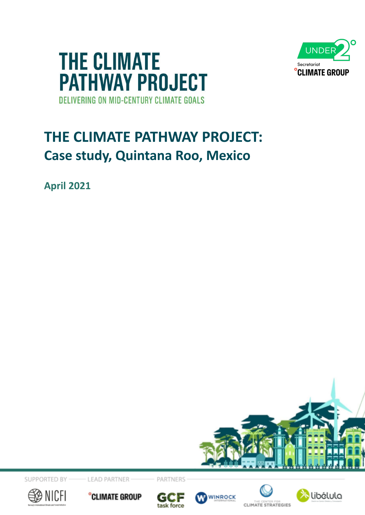



# **THE CLIMATE PATHWAY PROJECT: Case study, Quintana Roo, Mexico**

**April 2021**



SUPPORTED BY

**LEAD PARTNER** 







PARTNERS







**CLIMATE STRATEGIES**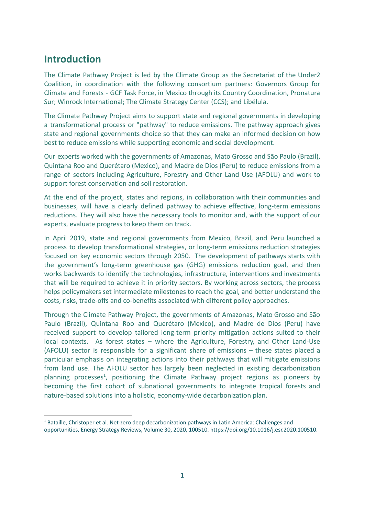# **Introduction**

The Climate Pathway Project is led by the Climate Group as the Secretariat of the Under2 Coalition, in coordination with the following consortium partners: Governors Group for Climate and Forests - GCF Task Force, in Mexico through its Country Coordination, Pronatura Sur; Winrock International; The Climate Strategy Center (CCS); and Libélula.

The Climate Pathway Project aims to support state and regional governments in developing a transformational process or "pathway" to reduce emissions. The pathway approach gives state and regional governments choice so that they can make an informed decision on how best to reduce emissions while supporting economic and social development.

Our experts worked with the governments of Amazonas, Mato Grosso and São Paulo (Brazil), Quintana Roo and Querétaro (Mexico), and Madre de Dios (Peru) to reduce emissions from a range of sectors including Agriculture, Forestry and Other Land Use (AFOLU) and work to support forest conservation and soil restoration.

At the end of the project, states and regions, in collaboration with their communities and businesses, will have a clearly defined pathway to achieve effective, long-term emissions reductions. They will also have the necessary tools to monitor and, with the support of our experts, evaluate progress to keep them on track.

In April 2019, state and regional governments from Mexico, Brazil, and Peru launched a process to develop transformational strategies, or long-term emissions reduction strategies focused on key economic sectors through 2050. The development of pathways starts with the government's long-term greenhouse gas (GHG) emissions reduction goal, and then works backwards to identify the technologies, infrastructure, interventions and investments that will be required to achieve it in priority sectors. By working across sectors, the process helps policymakers set intermediate milestones to reach the goal, and better understand the costs, risks, trade-offs and co-benefits associated with different policy approaches.

Through the Climate Pathway Project, the governments of Amazonas, Mato Grosso and São Paulo (Brazil), Quintana Roo and Querétaro (Mexico), and Madre de Dios (Peru) have received support to develop tailored long-term priority mitigation actions suited to their local contexts. As forest states – where the Agriculture, Forestry, and Other Land-Use (AFOLU) sector is responsible for a significant share of emissions – these states placed a particular emphasis on integrating actions into their pathways that will mitigate emissions from land use. The AFOLU sector has largely been neglected in existing decarbonization planning processes<sup>1</sup>, positioning the Climate Pathway project regions as pioneers by becoming the first cohort of subnational governments to integrate tropical forests and nature-based solutions into a holistic, economy-wide decarbonization plan.

 $<sup>1</sup>$  Bataille, Christoper et al. Net-zero deep decarbonization pathways in Latin America: Challenges and</sup> opportunities, Energy Strategy Reviews, Volume 30, 2020, 100510. https://doi.org/10.1016/j.esr.2020.100510.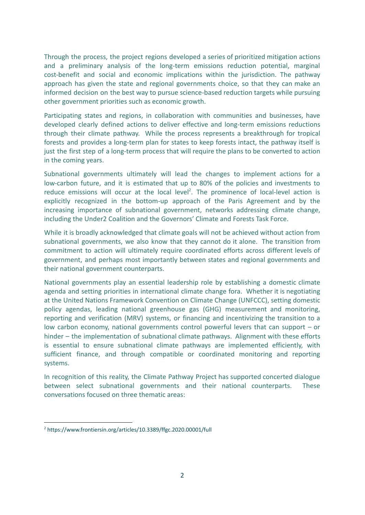Through the process, the project regions developed a series of prioritized mitigation actions and a preliminary analysis of the long-term emissions reduction potential, marginal cost-benefit and social and economic implications within the jurisdiction. The pathway approach has given the state and regional governments choice, so that they can make an informed decision on the best way to pursue science-based reduction targets while pursuing other government priorities such as economic growth.

Participating states and regions, in collaboration with communities and businesses, have developed clearly defined actions to deliver effective and long-term emissions reductions through their climate pathway. While the process represents a breakthrough for tropical forests and provides a long-term plan for states to keep forests intact, the pathway itself is just the first step of a long-term process that will require the plans to be converted to action in the coming years.

Subnational governments ultimately will lead the changes to implement actions for a low-carbon future, and it is estimated that up to 80% of the policies and investments to reduce emissions will occur at the local level<sup>2</sup>. The prominence of local-level action is explicitly recognized in the bottom-up approach of the Paris Agreement and by the increasing importance of subnational government, networks addressing climate change, including the Under2 Coalition and the Governors' Climate and Forests Task Force.

While it is broadly acknowledged that climate goals will not be achieved without action from subnational governments, we also know that they cannot do it alone. The transition from commitment to action will ultimately require coordinated efforts across different levels of government, and perhaps most importantly between states and regional governments and their national government counterparts.

National governments play an essential leadership role by establishing a domestic climate agenda and setting priorities in international climate change fora. Whether it is negotiating at the United Nations Framework Convention on Climate Change (UNFCCC), setting domestic policy agendas, leading national greenhouse gas (GHG) measurement and monitoring, reporting and verification (MRV) systems, or financing and incentivizing the transition to a low carbon economy, national governments control powerful levers that can support – or hinder – the implementation of subnational climate pathways. Alignment with these efforts is essential to ensure subnational climate pathways are implemented efficiently, with sufficient finance, and through compatible or coordinated monitoring and reporting systems.

In recognition of this reality, the Climate Pathway Project has supported concerted dialogue between select subnational governments and their national counterparts. These conversations focused on three thematic areas:

<sup>2</sup> https://www.frontiersin.org/articles/10.3389/ffgc.2020.00001/full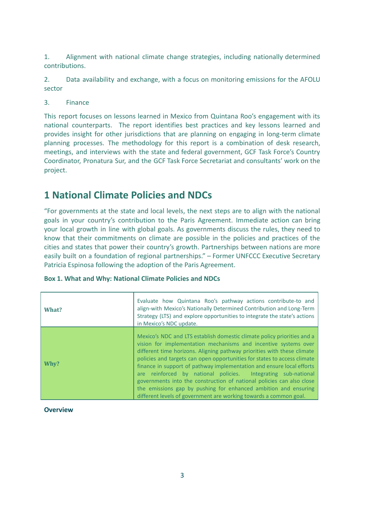1. Alignment with national climate change strategies, including nationally determined contributions.

2. Data availability and exchange, with a focus on monitoring emissions for the AFOLU sector

3. Finance

This report focuses on lessons learned in Mexico from Quintana Roo's engagement with its national counterparts. The report identifies best practices and key lessons learned and provides insight for other jurisdictions that are planning on engaging in long-term climate planning processes. The methodology for this report is a combination of desk research, meetings, and interviews with the state and federal government, GCF Task Force's Country Coordinator, Pronatura Sur, and the GCF Task Force Secretariat and consultants' work on the project.

# **1 National Climate Policies and NDCs**

"For governments at the state and local levels, the next steps are to align with the national goals in your country's contribution to the Paris Agreement. Immediate action can bring your local growth in line with global goals. As governments discuss the rules, they need to know that their commitments on climate are possible in the policies and practices of the cities and states that power their country's growth. Partnerships between nations are more easily built on a foundation of regional partnerships." – Former UNFCCC Executive Secretary Patricia Espinosa following the adoption of the Paris Agreement.

| What? | Evaluate how Quintana Roo's pathway actions contribute-to and<br>align-with Mexico's Nationally Determined Contribution and Long-Term<br>Strategy (LTS) and explore opportunities to integrate the state's actions<br>in Mexico's NDC update.                                                                                                                                                                                                                                                                                                                                                                                                                |
|-------|--------------------------------------------------------------------------------------------------------------------------------------------------------------------------------------------------------------------------------------------------------------------------------------------------------------------------------------------------------------------------------------------------------------------------------------------------------------------------------------------------------------------------------------------------------------------------------------------------------------------------------------------------------------|
| Whv?  | Mexico's NDC and LTS establish domestic climate policy priorities and a<br>vision for implementation mechanisms and incentive systems over<br>different time horizons. Aligning pathway priorities with these climate<br>policies and targets can open opportunities for states to access climate<br>finance in support of pathway implementation and ensure local efforts<br>are reinforced by national policies. Integrating sub-national<br>governments into the construction of national policies can also close<br>the emissions gap by pushing for enhanced ambition and ensuring<br>different levels of government are working towards a common goal. |

#### **Box 1. What and Why: National Climate Policies and NDCs**

**Overview**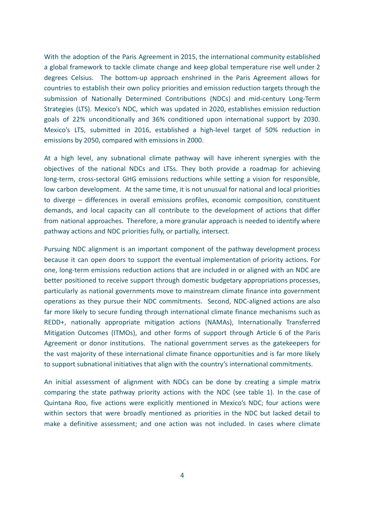With the adoption of the Paris Agreement in 2015, the international community established a global framework to tackle climate change and keep global temperature rise well under 2 degrees Celsius. The bottom-up approach enshrined in the Paris Agreement allows for countries to establish their own policy priorities and emission reduction targets through the submission of Nationally Determined Contributions (NDCs) and mid-century Long-Term Strategies (LTS). Mexico's NDC, which was updated in 2020, establishes emission reduction goals of 22% unconditionally and 36% conditioned upon international support by 2030. Mexico's LTS, submitted in 2016, established a high-level target of 50% reduction in emissions by 2050, compared with emissions in 2000.

At a high level, any subnational climate pathway will have inherent synergies with the objectives of the national NDCs and LTSs. They both provide a roadmap for achieving long-term, cross-sectoral GHG emissions reductions while setting a vision for responsible, low carbon development. At the same time, it is not unusual for national and local priorities to diverge – differences in overall emissions profiles, economic composition, constituent demands, and local capacity can all contribute to the development of actions that differ from national approaches. Therefore, a more granular approach is needed to identify where pathway actions and NDC priorities fully, or partially, intersect.

Pursuing NDC alignment is an important component of the pathway development process because it can open doors to support the eventual implementation of priority actions. For one, long-term emissions reduction actions that are included in or aligned with an NDC are better positioned to receive support through domestic budgetary appropriations processes, particularly as national governments move to mainstream climate finance into government operations as they pursue their NDC commitments. Second, NDC-aligned actions are also far more likely to secure funding through international climate finance mechanisms such as REDD+, nationally appropriate mitigation actions (NAMAs), Internationally Transferred Mitigation Outcomes (ITMOs), and other forms of support through Article 6 of the Paris Agreement or donor institutions. The national government serves as the gatekeepers for the vast majority of these international climate finance opportunities and is far more likely to support subnational initiatives that align with the country's international commitments.

An initial assessment of alignment with NDCs can be done by creating a simple matrix comparing the state pathway priority actions with the NDC (see table 1). In the case of Quintana Roo, five actions were explicitly mentioned in Mexico's NDC; four actions were within sectors that were broadly mentioned as priorities in the NDC but lacked detail to make a definitive assessment; and one action was not included. In cases where climate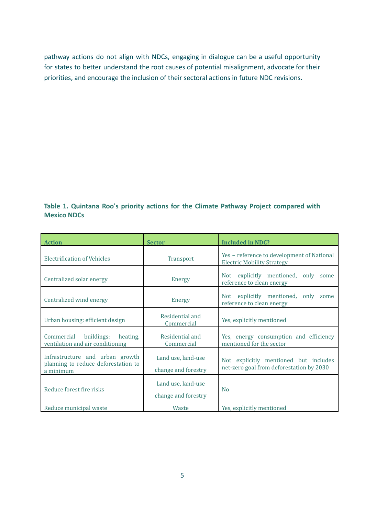pathway actions do not align with NDCs, engaging in dialogue can be a useful opportunity for states to better understand the root causes of potential misalignment, advocate for their priorities, and encourage the inclusion of their sectoral actions in future NDC revisions.

#### **Table 1. Quintana Roo's priority actions for the Climate Pathway Project compared with Mexico NDCs**

| <b>Action</b>                                                                       | <b>Sector</b>                             | <b>Included in NDC?</b>                                                           |
|-------------------------------------------------------------------------------------|-------------------------------------------|-----------------------------------------------------------------------------------|
| <b>Electrification of Vehicles</b>                                                  | <b>Transport</b>                          | Yes - reference to development of National<br><b>Electric Mobility Strategy</b>   |
| Centralized solar energy                                                            | Energy                                    | Not explicitly mentioned, only<br>some<br>reference to clean energy               |
| Centralized wind energy                                                             | Energy                                    | Not explicitly mentioned, only<br>some<br>reference to clean energy               |
| Urban housing: efficient design                                                     | Residential and<br>Commercial             | Yes, explicitly mentioned                                                         |
| buildings:<br>Commercial<br>heating,<br>ventilation and air conditioning            | Residential and<br>Commercial             | Yes, energy consumption and efficiency<br>mentioned for the sector                |
| Infrastructure and urban growth<br>planning to reduce deforestation to<br>a minimum | Land use, land-use<br>change and forestry | Not explicitly mentioned but includes<br>net-zero goal from deforestation by 2030 |
| Reduce forest fire risks                                                            | Land use, land-use<br>change and forestry | N <sub>0</sub>                                                                    |
| Reduce municipal waste                                                              | Waste                                     | Yes, explicitly mentioned                                                         |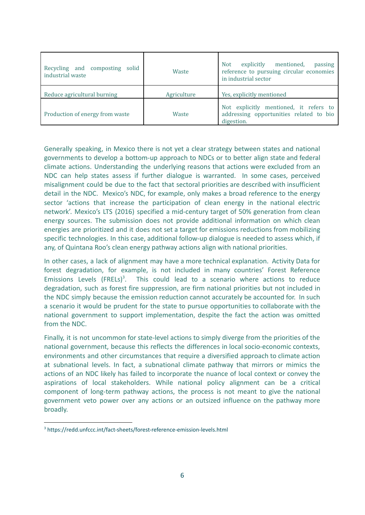| Recycling and composting solid<br>industrial waste | Waste       | mentioned,<br>explicitly<br><b>Not</b><br>passing<br>reference to pursuing circular economies<br>in industrial sector |
|----------------------------------------------------|-------------|-----------------------------------------------------------------------------------------------------------------------|
| Reduce agricultural burning                        | Agriculture | Yes, explicitly mentioned                                                                                             |
| Production of energy from waste                    | Waste       | Not explicitly mentioned, it refers to<br>addressing opportunities related to bio<br>digestion.                       |

Generally speaking, in Mexico there is not yet a clear strategy between states and national governments to develop a bottom-up approach to NDCs or to better align state and federal climate actions. Understanding the underlying reasons that actions were excluded from an NDC can help states assess if further dialogue is warranted. In some cases, perceived misalignment could be due to the fact that sectoral priorities are described with insufficient detail in the NDC. Mexico's NDC, for example, only makes a broad reference to the energy sector 'actions that increase the participation of clean energy in the national electric network'. Mexico's LTS (2016) specified a mid-century target of 50% generation from clean energy sources. The submission does not provide additional information on which clean energies are prioritized and it does not set a target for emissions reductions from mobilizing specific technologies. In this case, additional follow-up dialogue is needed to assess which, if any, of Quintana Roo's clean energy pathway actions align with national priorities.

In other cases, a lack of alignment may have a more technical explanation. Activity Data for forest degradation, for example, is not included in many countries' Forest Reference Emissions Levels  $(FRELs)^3$ . This could lead to a scenario where actions to reduce degradation, such as forest fire suppression, are firm national priorities but not included in the NDC simply because the emission reduction cannot accurately be accounted for. In such a scenario it would be prudent for the state to pursue opportunities to collaborate with the national government to support implementation, despite the fact the action was omitted from the NDC.

Finally, it is not uncommon for state-level actions to simply diverge from the priorities of the national government, because this reflects the differences in local socio-economic contexts, environments and other circumstances that require a diversified approach to climate action at subnational levels. In fact, a subnational climate pathway that mirrors or mimics the actions of an NDC likely has failed to incorporate the nuance of local context or convey the aspirations of local stakeholders. While national policy alignment can be a critical component of long-term pathway actions, the process is not meant to give the national government veto power over any actions or an outsized influence on the pathway more broadly.

<sup>3</sup> https://redd.unfccc.int/fact-sheets/forest-reference-emission-levels.html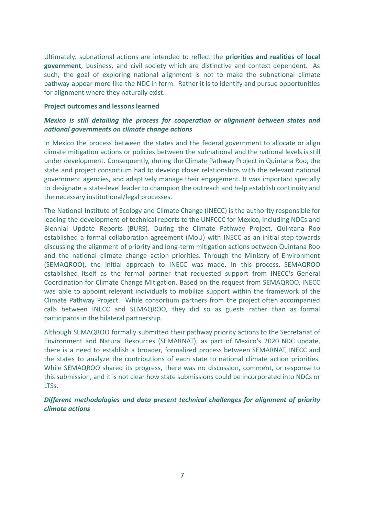Ultimately, subnational actions are intended to reflect the **priorities and realities of local government**, business, and civil society which are distinctive and context dependent. As such, the goal of exploring national alignment is not to make the subnational climate pathway appear more like the NDC in form. Rather it is to identify and pursue opportunities for alignment where they naturally exist.

#### **Project outcomes and lessons learned**

#### *Mexico is still detailing the process for cooperation or alignment between states and national governments on climate change actions*

In Mexico the process between the states and the federal government to allocate or align climate mitigation actions or policies between the subnational and the national levels is still under development. Consequently, during the Climate Pathway Project in Quintana Roo, the state and project consortium had to develop closer relationships with the relevant national government agencies, and adaptively manage their engagement. It was important specially to designate a state-level leader to champion the outreach and help establish continuity and the necessary institutional/legal processes.

The National Institute of Ecology and Climate Change (INECC) is the authority responsible for leading the development of technical reports to the UNFCCC for Mexico, including NDCs and Biennial Update Reports (BURS). During the Climate Pathway Project, Quintana Roo established a formal collaboration agreement (MoU) with INECC as an initial step towards discussing the alignment of priority and long-term mitigation actions between Quintana Roo and the national climate change action priorities. Through the Ministry of Environment (SEMAQROO), the initial approach to INECC was made. In this process, SEMAQROO established itself as the formal partner that requested support from INECC's General Coordination for Climate Change Mitigation. Based on the request from SEMAQROO, INECC was able to appoint relevant individuals to mobilize support within the framework of the Climate Pathway Project. While consortium partners from the project often accompanied calls between INECC and SEMAQROO, they did so as guests rather than as formal participants in the bilateral partnership.

Although SEMAQROO formally submitted their pathway priority actions to the Secretariat of Environment and Natural Resources (SEMARNAT), as part of Mexico's 2020 NDC update, there is a need to establish a broader, formalized process between SEMARNAT, INECC and the states to analyze the contributions of each state to national climate action priorities. While SEMAQROO shared its progress, there was no discussion, comment, or response to this submission, and it is not clear how state submissions could be incorporated into NDCs or LTSs.

#### *Different methodologies and data present technical challenges for alignment of priority climate actions*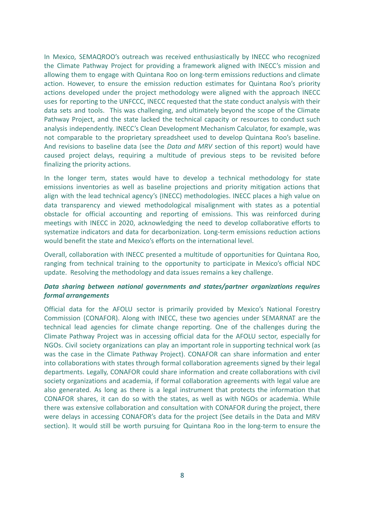In Mexico, SEMAQROO's outreach was received enthusiastically by INECC who recognized the Climate Pathway Project for providing a framework aligned with INECC's mission and allowing them to engage with Quintana Roo on long-term emissions reductions and climate action. However, to ensure the emission reduction estimates for Quintana Roo's priority actions developed under the project methodology were aligned with the approach INECC uses for reporting to the UNFCCC, INECC requested that the state conduct analysis with their data sets and tools. This was challenging, and ultimately beyond the scope of the Climate Pathway Project, and the state lacked the technical capacity or resources to conduct such analysis independently. INECC's Clean Development Mechanism Calculator, for example, was not comparable to the proprietary spreadsheet used to develop Quintana Roo's baseline. And revisions to baseline data (see the *Data and MRV* section of this report) would have caused project delays, requiring a multitude of previous steps to be revisited before finalizing the priority actions.

In the longer term, states would have to develop a technical methodology for state emissions inventories as well as baseline projections and priority mitigation actions that align with the lead technical agency's (INECC) methodologies. INECC places a high value on data transparency and viewed methodological misalignment with states as a potential obstacle for official accounting and reporting of emissions. This was reinforced during meetings with INECC in 2020, acknowledging the need to develop collaborative efforts to systematize indicators and data for decarbonization. Long-term emissions reduction actions would benefit the state and Mexico's efforts on the international level.

Overall, collaboration with INECC presented a multitude of opportunities for Quintana Roo, ranging from technical training to the opportunity to participate in Mexico's official NDC update. Resolving the methodology and data issues remains a key challenge.

#### *Data sharing between national governments and states/partner organizations requires formal arrangements*

Official data for the AFOLU sector is primarily provided by Mexico's National Forestry Commission (CONAFOR). Along with INECC, these two agencies under SEMARNAT are the technical lead agencies for climate change reporting. One of the challenges during the Climate Pathway Project was in accessing official data for the AFOLU sector, especially for NGOs. Civil society organizations can play an important role in supporting technical work (as was the case in the Climate Pathway Project). CONAFOR can share information and enter into collaborations with states through formal collaboration agreements signed by their legal departments. Legally, CONAFOR could share information and create collaborations with civil society organizations and academia, if formal collaboration agreements with legal value are also generated. As long as there is a legal instrument that protects the information that CONAFOR shares, it can do so with the states, as well as with NGOs or academia. While there was extensive collaboration and consultation with CONAFOR during the project, there were delays in accessing CONAFOR's data for the project (See details in the Data and MRV section). It would still be worth pursuing for Quintana Roo in the long-term to ensure the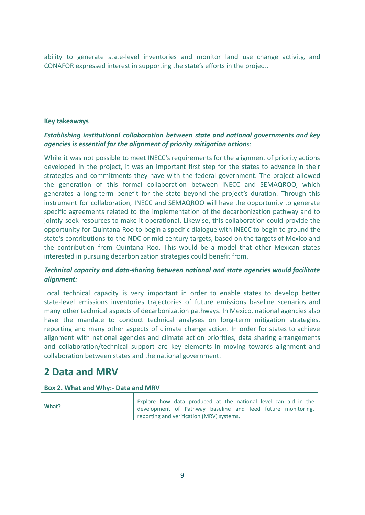ability to generate state-level inventories and monitor land use change activity, and CONAFOR expressed interest in supporting the state's efforts in the project.

#### **Key takeaways**

#### *Establishing institutional collaboration between state and national governments and key agencies is essential for the alignment of priority mitigation action*s:

While it was not possible to meet INECC's requirements for the alignment of priority actions developed in the project, it was an important first step for the states to advance in their strategies and commitments they have with the federal government. The project allowed the generation of this formal collaboration between INECC and SEMAQROO, which generates a long-term benefit for the state beyond the project's duration. Through this instrument for collaboration, INECC and SEMAQROO will have the opportunity to generate specific agreements related to the implementation of the decarbonization pathway and to jointly seek resources to make it operational. Likewise, this collaboration could provide the opportunity for Quintana Roo to begin a specific dialogue with INECC to begin to ground the state's contributions to the NDC or mid-century targets, based on the targets of Mexico and the contribution from Quintana Roo. This would be a model that other Mexican states interested in pursuing decarbonization strategies could benefit from.

#### *Technical capacity and data-sharing between national and state agencies would facilitate alignment:*

Local technical capacity is very important in order to enable states to develop better state-level emissions inventories trajectories of future emissions baseline scenarios and many other technical aspects of decarbonization pathways. In Mexico, national agencies also have the mandate to conduct technical analyses on long-term mitigation strategies, reporting and many other aspects of climate change action. In order for states to achieve alignment with national agencies and climate action priorities, data sharing arrangements and collaboration/technical support are key elements in moving towards alignment and collaboration between states and the national government.

## **2 Data and MRV**

#### **Box 2. What and Why:- Data and MRV**

| What? | Explore how data produced at the national level can aid in the |
|-------|----------------------------------------------------------------|
|       | development of Pathway baseline and feed future monitoring, I  |
|       | reporting and verification (MRV) systems.                      |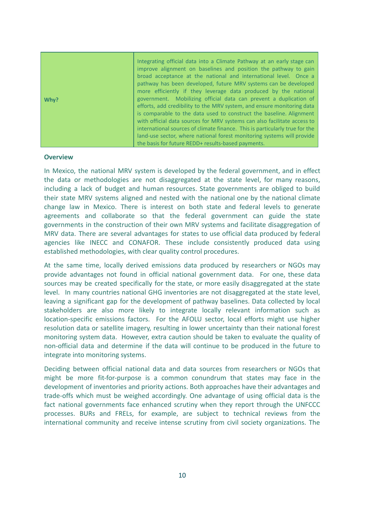| Why? | Integrating official data into a Climate Pathway at an early stage can<br>improve alignment on baselines and position the pathway to gain<br>broad acceptance at the national and international level. Once a<br>pathway has been developed, future MRV systems can be developed<br>more efficiently if they leverage data produced by the national<br>government. Mobilizing official data can prevent a duplication of<br>efforts, add credibility to the MRV system, and ensure monitoring data<br>is comparable to the data used to construct the baseline. Alignment<br>with official data sources for MRV systems can also facilitate access to<br>international sources of climate finance. This is particularly true for the<br>land-use sector, where national forest monitoring systems will provide |
|------|----------------------------------------------------------------------------------------------------------------------------------------------------------------------------------------------------------------------------------------------------------------------------------------------------------------------------------------------------------------------------------------------------------------------------------------------------------------------------------------------------------------------------------------------------------------------------------------------------------------------------------------------------------------------------------------------------------------------------------------------------------------------------------------------------------------|
|      | the basis for future REDD+ results-based payments.                                                                                                                                                                                                                                                                                                                                                                                                                                                                                                                                                                                                                                                                                                                                                             |

#### **Overview**

In Mexico, the national MRV system is developed by the federal government, and in effect the data or methodologies are not disaggregated at the state level, for many reasons, including a lack of budget and human resources. State governments are obliged to build their state MRV systems aligned and nested with the national one by the national climate change law in Mexico. There is interest on both state and federal levels to generate agreements and collaborate so that the federal government can guide the state governments in the construction of their own MRV systems and facilitate disaggregation of MRV data. There are several advantages for states to use official data produced by federal agencies like INECC and CONAFOR. These include consistently produced data using established methodologies, with clear quality control procedures.

At the same time, locally derived emissions data produced by researchers or NGOs may provide advantages not found in official national government data. For one, these data sources may be created specifically for the state, or more easily disaggregated at the state level. In many countries national GHG inventories are not disaggregated at the state level, leaving a significant gap for the development of pathway baselines. Data collected by local stakeholders are also more likely to integrate locally relevant information such as location-specific emissions factors. For the AFOLU sector, local efforts might use higher resolution data or satellite imagery, resulting in lower uncertainty than their national forest monitoring system data. However, extra caution should be taken to evaluate the quality of non-official data and determine if the data will continue to be produced in the future to integrate into monitoring systems.

Deciding between official national data and data sources from researchers or NGOs that might be more fit-for-purpose is a common conundrum that states may face in the development of inventories and priority actions. Both approaches have their advantages and trade-offs which must be weighed accordingly. One advantage of using official data is the fact national governments face enhanced scrutiny when they report through the UNFCCC processes. BURs and FRELs, for example, are subject to technical reviews from the international community and receive intense scrutiny from civil society organizations. The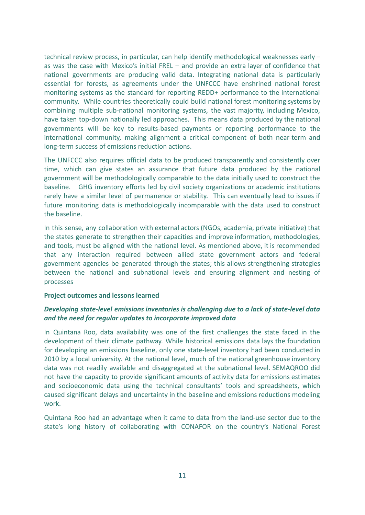technical review process, in particular, can help identify methodological weaknesses early – as was the case with Mexico's initial FREL – and provide an extra layer of confidence that national governments are producing valid data. Integrating national data is particularly essential for forests, as agreements under the UNFCCC have enshrined national forest monitoring systems as the standard for reporting REDD+ performance to the international community. While countries theoretically could build national forest monitoring systems by combining multiple sub-national monitoring systems, the vast majority, including Mexico, have taken top-down nationally led approaches. This means data produced by the national governments will be key to results-based payments or reporting performance to the international community, making alignment a critical component of both near-term and long-term success of emissions reduction actions.

The UNFCCC also requires official data to be produced transparently and consistently over time, which can give states an assurance that future data produced by the national government will be methodologically comparable to the data initially used to construct the baseline. GHG inventory efforts led by civil society organizations or academic institutions rarely have a similar level of permanence or stability. This can eventually lead to issues if future monitoring data is methodologically incomparable with the data used to construct the baseline.

In this sense, any collaboration with external actors (NGOs, academia, private initiative) that the states generate to strengthen their capacities and improve information, methodologies, and tools, must be aligned with the national level. As mentioned above, it is recommended that any interaction required between allied state government actors and federal government agencies be generated through the states; this allows strengthening strategies between the national and subnational levels and ensuring alignment and nesting of processes

#### **Project outcomes and lessons learned**

#### *Developing state-level emissions inventories is challenging due to a lack of state-level data and the need for regular updates to incorporate improved data*

In Quintana Roo, data availability was one of the first challenges the state faced in the development of their climate pathway. While historical emissions data lays the foundation for developing an emissions baseline, only one state-level inventory had been conducted in 2010 by a local university. At the national level, much of the national greenhouse inventory data was not readily available and disaggregated at the subnational level. SEMAQROO did not have the capacity to provide significant amounts of activity data for emissions estimates and socioeconomic data using the technical consultants' tools and spreadsheets, which caused significant delays and uncertainty in the baseline and emissions reductions modeling work.

Quintana Roo had an advantage when it came to data from the land-use sector due to the state's long history of collaborating with CONAFOR on the country's National Forest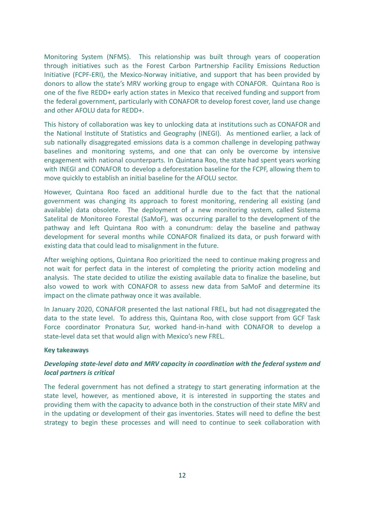Monitoring System (NFMS). This relationship was built through years of cooperation through initiatives such as the Forest Carbon Partnership Facility Emissions Reduction Initiative (FCPF-ERI), the Mexico-Norway initiative, and support that has been provided by donors to allow the state's MRV working group to engage with CONAFOR. Quintana Roo is one of the five REDD+ early action states in Mexico that received funding and support from the federal government, particularly with CONAFOR to develop forest cover, land use change and other AFOLU data for REDD+.

This history of collaboration was key to unlocking data at institutions such as CONAFOR and the National Institute of Statistics and Geography (INEGI). As mentioned earlier, a lack of sub nationally disaggregated emissions data is a common challenge in developing pathway baselines and monitoring systems, and one that can only be overcome by intensive engagement with national counterparts. In Quintana Roo, the state had spent years working with INEGI and CONAFOR to develop a deforestation baseline for the FCPF, allowing them to move quickly to establish an initial baseline for the AFOLU sector.

However, Quintana Roo faced an additional hurdle due to the fact that the national government was changing its approach to forest monitoring, rendering all existing (and available) data obsolete. The deployment of a new monitoring system, called Sistema Satelital de Monitoreo Forestal (SaMoF), was occurring parallel to the development of the pathway and left Quintana Roo with a conundrum: delay the baseline and pathway development for several months while CONAFOR finalized its data, or push forward with existing data that could lead to misalignment in the future.

After weighing options, Quintana Roo prioritized the need to continue making progress and not wait for perfect data in the interest of completing the priority action modeling and analysis. The state decided to utilize the existing available data to finalize the baseline, but also vowed to work with CONAFOR to assess new data from SaMoF and determine its impact on the climate pathway once it was available.

In January 2020, CONAFOR presented the last national FREL, but had not disaggregated the data to the state level. To address this, Quintana Roo, with close support from GCF Task Force coordinator Pronatura Sur, worked hand-in-hand with CONAFOR to develop a state-level data set that would align with Mexico's new FREL.

#### **Key takeaways**

#### *Developing state-level data and MRV capacity in coordination with the federal system and local partners is critical*

The federal government has not defined a strategy to start generating information at the state level, however, as mentioned above, it is interested in supporting the states and providing them with the capacity to advance both in the construction of their state MRV and in the updating or development of their gas inventories. States will need to define the best strategy to begin these processes and will need to continue to seek collaboration with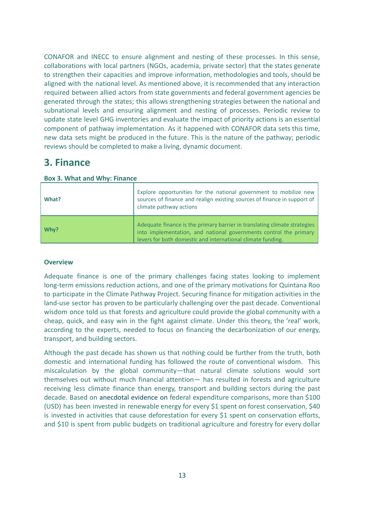CONAFOR and INECC to ensure alignment and nesting of these processes. In this sense, collaborations with local partners (NGOs, academia, private sector) that the states generate to strengthen their capacities and improve information, methodologies and tools, should be aligned with the national level. As mentioned above, it is recommended that any interaction required between allied actors from state governments and federal government agencies be generated through the states; this allows strengthening strategies between the national and subnational levels and ensuring alignment and nesting of processes. Periodic review to update state level GHG inventories and evaluate the impact of priority actions is an essential component of pathway implementation. As it happened with CONAFOR data sets this time, new data sets might be produced in the future. This is the nature of the pathway; periodic reviews should be completed to make a living, dynamic document.

# **3. Finance**

| What? | Explore opportunities for the national government to mobilize new<br>sources of finance and realign existing sources of finance in support of<br>climate pathway actions                                      |
|-------|---------------------------------------------------------------------------------------------------------------------------------------------------------------------------------------------------------------|
| Why?  | Adequate finance is the primary barrier in translating climate strategies<br>into implementation, and national governments control the primary<br>levers for both domestic and international climate funding. |

**Box 3. What and Why: Finance**

#### **Overview**

Adequate finance is one of the primary challenges facing states looking to implement long-term emissions reduction actions, and one of the primary motivations for Quintana Roo to participate in the Climate Pathway Project. Securing finance for mitigation activities in the land-use sector has proven to be particularly challenging over the past decade. Conventional wisdom once told us that forests and agriculture could provide the global community with a cheap, quick, and easy win in the fight against climate. Under this theory, the 'real' work, according to the experts, needed to focus on financing the decarbonization of our energy, transport, and building sectors.

Although the past decade has shown us that nothing could be further from the truth, both domestic and international funding has followed the route of conventional wisdom. This miscalculation by the global community—that natural climate solutions would sort themselves out without much financial attention— has resulted in forests and agriculture receiving less climate finance than energy, transport and building sectors during the past decade. Based on anecdotal evidence on federal expenditure comparisons, more than \$100 (USD) has been invested in renewable energy for every \$1 spent on forest conservation, \$40 is invested in activities that cause deforestation for every \$1 spent on conservation efforts, and \$10 is spent from public budgets on traditional agriculture and forestry for every dollar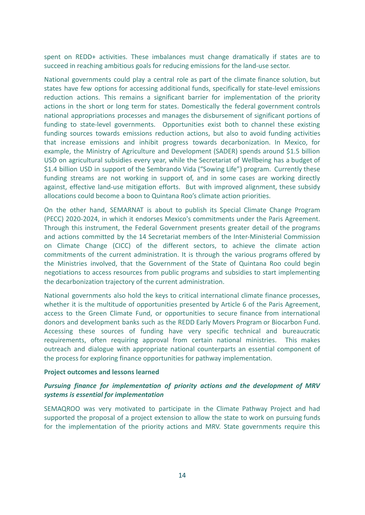spent on REDD+ activities. These imbalances must change dramatically if states are to succeed in reaching ambitious goals for reducing emissions for the land-use sector.

National governments could play a central role as part of the climate finance solution, but states have few options for accessing additional funds, specifically for state-level emissions reduction actions. This remains a significant barrier for implementation of the priority actions in the short or long term for states. Domestically the federal government controls national appropriations processes and manages the disbursement of significant portions of funding to state-level governments. Opportunities exist both to channel these existing funding sources towards emissions reduction actions, but also to avoid funding activities that increase emissions and inhibit progress towards decarbonization. In Mexico, for example, the Ministry of Agriculture and Development (SADER) spends around \$1.5 billion USD on agricultural subsidies every year, while the Secretariat of Wellbeing has a budget of \$1.4 billion USD in support of the Sembrando Vida ("Sowing Life") program. Currently these funding streams are not working in support of, and in some cases are working directly against, effective land-use mitigation efforts. But with improved alignment, these subsidy allocations could become a boon to Quintana Roo's climate action priorities.

On the other hand, SEMARNAT is about to publish its Special Climate Change Program (PECC) 2020-2024, in which it endorses Mexico's commitments under the Paris Agreement. Through this instrument, the Federal Government presents greater detail of the programs and actions committed by the 14 Secretariat members of the Inter-Ministerial Commission on Climate Change (CICC) of the different sectors, to achieve the climate action commitments of the current administration. It is through the various programs offered by the Ministries involved, that the Government of the State of Quintana Roo could begin negotiations to access resources from public programs and subsidies to start implementing the decarbonization trajectory of the current administration.

National governments also hold the keys to critical international climate finance processes, whether it is the multitude of opportunities presented by Article 6 of the Paris Agreement, access to the Green Climate Fund, or opportunities to secure finance from international donors and development banks such as the REDD Early Movers Program or Biocarbon Fund. Accessing these sources of funding have very specific technical and bureaucratic requirements, often requiring approval from certain national ministries. This makes outreach and dialogue with appropriate national counterparts an essential component of the process for exploring finance opportunities for pathway implementation.

#### **Project outcomes and lessons learned**

#### *Pursuing finance for implementation of priority actions and the development of MRV systems is essential for implementation*

SEMAQROO was very motivated to participate in the Climate Pathway Project and had supported the proposal of a project extension to allow the state to work on pursuing funds for the implementation of the priority actions and MRV. State governments require this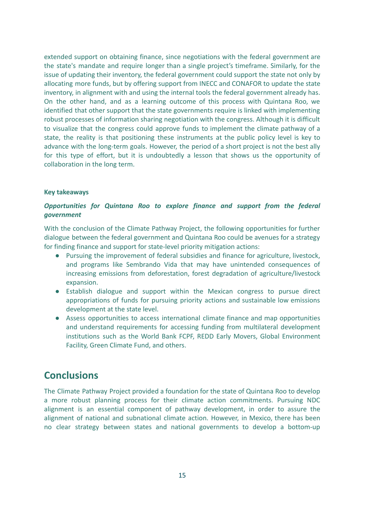extended support on obtaining finance, since negotiations with the federal government are the state's mandate and require longer than a single project's timeframe. Similarly, for the issue of updating their inventory, the federal government could support the state not only by allocating more funds, but by offering support from INECC and CONAFOR to update the state inventory, in alignment with and using the internal tools the federal government already has. On the other hand, and as a learning outcome of this process with Quintana Roo, we identified that other support that the state governments require is linked with implementing robust processes of information sharing negotiation with the congress. Although it is difficult to visualize that the congress could approve funds to implement the climate pathway of a state, the reality is that positioning these instruments at the public policy level is key to advance with the long-term goals. However, the period of a short project is not the best ally for this type of effort, but it is undoubtedly a lesson that shows us the opportunity of collaboration in the long term.

#### **Key takeaways**

#### *Opportunities for Quintana Roo to explore finance and support from the federal government*

With the conclusion of the Climate Pathway Project, the following opportunities for further dialogue between the federal government and Quintana Roo could be avenues for a strategy for finding finance and support for state-level priority mitigation actions:

- Pursuing the improvement of federal subsidies and finance for agriculture, livestock, and programs like Sembrando Vida that may have unintended consequences of increasing emissions from deforestation, forest degradation of agriculture/livestock expansion.
- Establish dialogue and support within the Mexican congress to pursue direct appropriations of funds for pursuing priority actions and sustainable low emissions development at the state level.
- Assess opportunities to access international climate finance and map opportunities and understand requirements for accessing funding from multilateral development institutions such as the World Bank FCPF, REDD Early Movers, Global Environment Facility, Green Climate Fund, and others.

### **Conclusions**

The Climate Pathway Project provided a foundation for the state of Quintana Roo to develop a more robust planning process for their climate action commitments. Pursuing NDC alignment is an essential component of pathway development, in order to assure the alignment of national and subnational climate action. However, in Mexico, there has been no clear strategy between states and national governments to develop a bottom-up